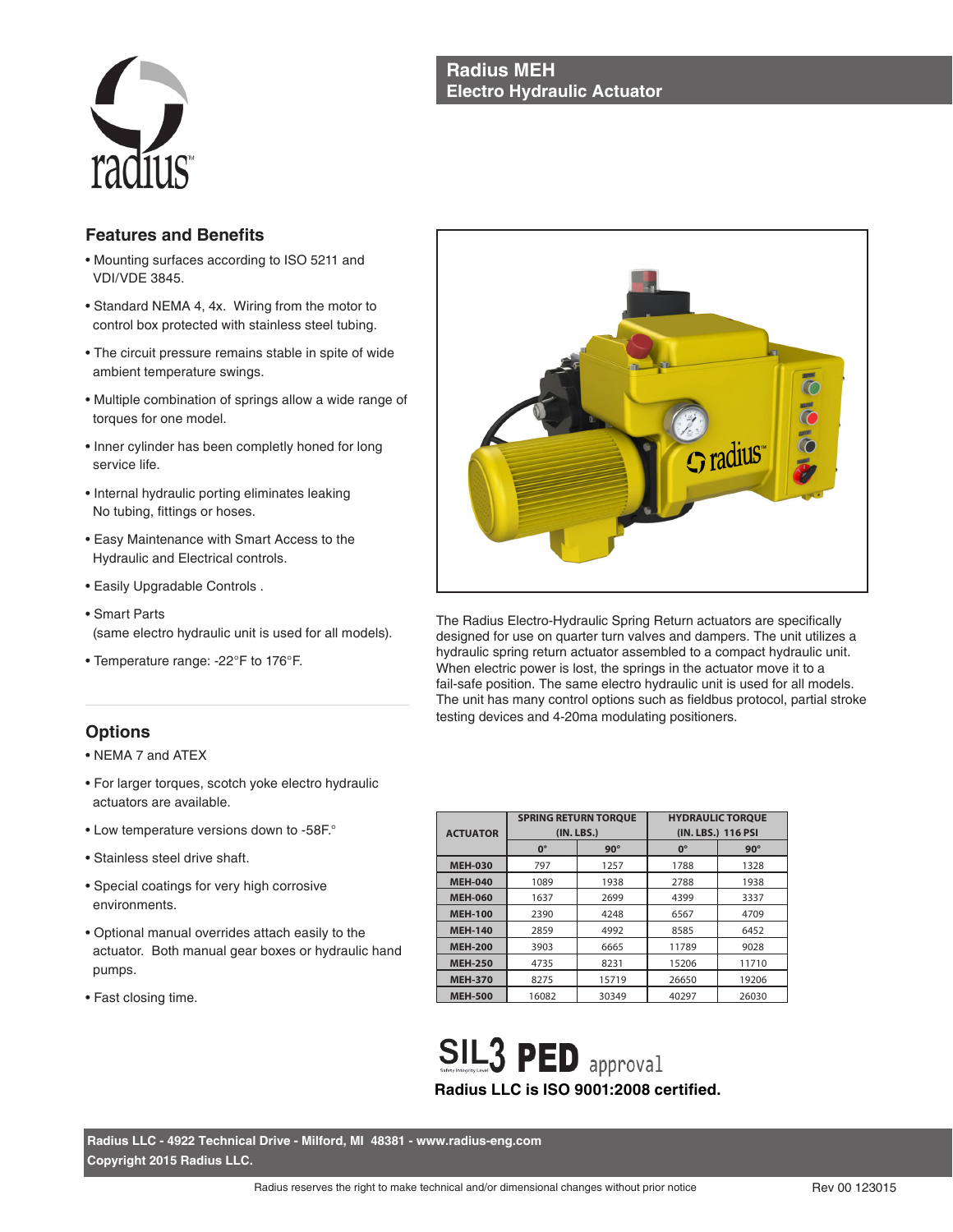## **Radius MEH Electro Hydraulic Actuator**



## **Features and Benefits**

- Mounting surfaces according to ISO 5211 and VDI/VDE 3845.
- Standard NEMA 4, 4x. Wiring from the motor to control box protected with stainless steel tubing.
- The circuit pressure remains stable in spite of wide ambient temperature swings.
- Multiple combination of springs allow a wide range of torques for one model.
- Inner cylinder has been completly honed for long service life.
- Internal hydraulic porting eliminates leaking No tubing, fittings or hoses.
- Easy Maintenance with Smart Access to the Hydraulic and Electrical controls.
- Easily Upgradable Controls .
- Smart Parts (same electro hydraulic unit is used for all models).
- Temperature range: -22°F to 176°F.

# **Options**

- NEMA 7 and ATEX
- For larger torques, scotch yoke electro hydraulic actuators are available.
- Low temperature versions down to -58F.°
- Stainless steel drive shaft.
- Special coatings for very high corrosive environments.
- Optional manual overrides attach easily to the actuator. Both manual gear boxes or hydraulic hand pumps.
- Fast closing time.



The Radius Electro-Hydraulic Spring Return actuators are specifically designed for use on quarter turn valves and dampers. The unit utilizes a hydraulic spring return actuator assembled to a compact hydraulic unit. When electric power is lost, the springs in the actuator move it to a fail-safe position. The same electro hydraulic unit is used for all models. The unit has many control options such as fieldbus protocol, partial stroke testing devices and 4-20ma modulating positioners.

| <b>ACTUATOR</b> | <b>SPRING RETURN TOROUE</b> | (IN. LBS.) | <b>HYDRAULIC TOROUE</b><br>(IN. LBS.) 116 PSI |            |  |
|-----------------|-----------------------------|------------|-----------------------------------------------|------------|--|
|                 | $0^{\circ}$                 | $90^\circ$ | $0^{\circ}$                                   | $90^\circ$ |  |
| <b>MEH-030</b>  | 797                         | 1257       | 1788                                          | 1328       |  |
| <b>MEH-040</b>  | 1089                        | 1938       | 2788                                          | 1938       |  |
| <b>MEH-060</b>  | 1637                        | 2699       | 4399                                          | 3337       |  |
| <b>MEH-100</b>  | 2390                        | 4248       | 6567                                          | 4709       |  |
| <b>MEH-140</b>  | 2859                        | 4992       | 8585                                          | 6452       |  |
| <b>MEH-200</b>  | 3903                        | 6665       | 11789                                         | 9028       |  |
| <b>MEH-250</b>  | 4735                        | 8231       | 15206                                         | 11710      |  |
| <b>MEH-370</b>  | 8275                        | 15719      | 26650                                         | 19206      |  |
| <b>MEH-500</b>  | 16082                       | 30349      | 40297                                         | 26030      |  |

**SIL3 PED** approval **Radius LLC is ISO 9001:2008 certified.**

**Radius LLC - 4922 Technical Drive - Milford, MI 48381 - www.radius-eng.com Copyright 2015 Radius LLC.**